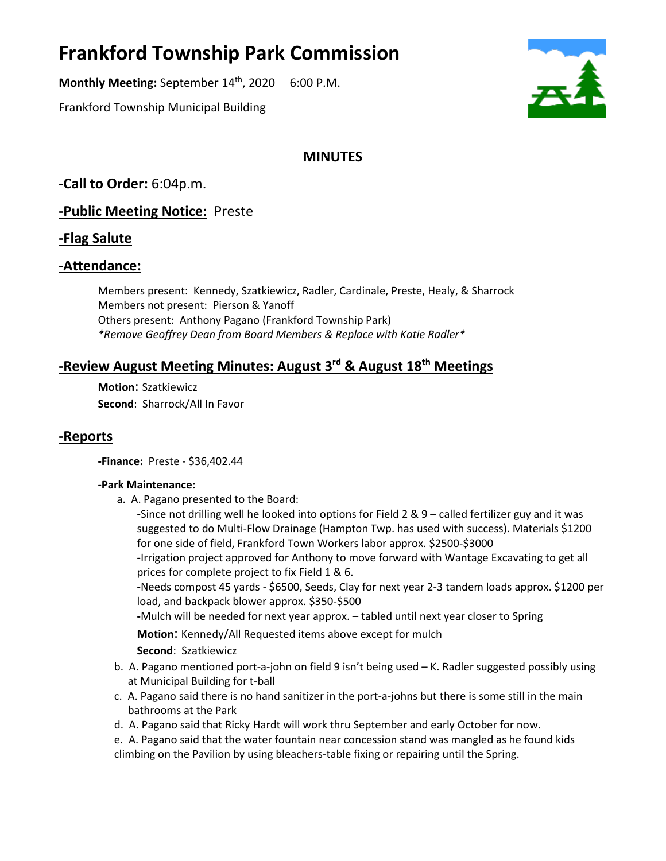# **Frankford Township Park Commission**

**Monthly Meeting:** September 14<sup>th</sup>, 2020 6:00 P.M.

Frankford Township Municipal Building

# **MINUTES**

**-Call to Order:** 6:04p.m.

**-Public Meeting Notice:** Preste

## **-Flag Salute**

## **-Attendance:**

Members present: Kennedy, Szatkiewicz, Radler, Cardinale, Preste, Healy, & Sharrock Members not present: Pierson & Yanoff Others present: Anthony Pagano (Frankford Township Park) *\*Remove Geoffrey Dean from Board Members & Replace with Katie Radler\**

# **-Review August Meeting Minutes: August 3rd & August 18th Meetings**

**Motion**: Szatkiewicz **Second**: Sharrock/All In Favor

## **-Reports**

**-Finance:** Preste - \$36,402.44

#### **-Park Maintenance:**

a. A. Pagano presented to the Board:

**-**Since not drilling well he looked into options for Field 2 & 9 – called fertilizer guy and it was suggested to do Multi-Flow Drainage (Hampton Twp. has used with success). Materials \$1200 for one side of field, Frankford Town Workers labor approx. \$2500-\$3000 **-**Irrigation project approved for Anthony to move forward with Wantage Excavating to get all prices for complete project to fix Field 1 & 6.

**-**Needs compost 45 yards - \$6500, Seeds, Clay for next year 2-3 tandem loads approx. \$1200 per load, and backpack blower approx. \$350-\$500

**-**Mulch will be needed for next year approx. – tabled until next year closer to Spring

**Motion**: Kennedy/All Requested items above except for mulch

**Second**: Szatkiewicz

- b. A. Pagano mentioned port-a-john on field 9 isn't being used K. Radler suggested possibly using at Municipal Building for t-ball
- c. A. Pagano said there is no hand sanitizer in the port-a-johns but there is some still in the main bathrooms at the Park
- d. A. Pagano said that Ricky Hardt will work thru September and early October for now.
- e. A. Pagano said that the water fountain near concession stand was mangled as he found kids climbing on the Pavilion by using bleachers-table fixing or repairing until the Spring.